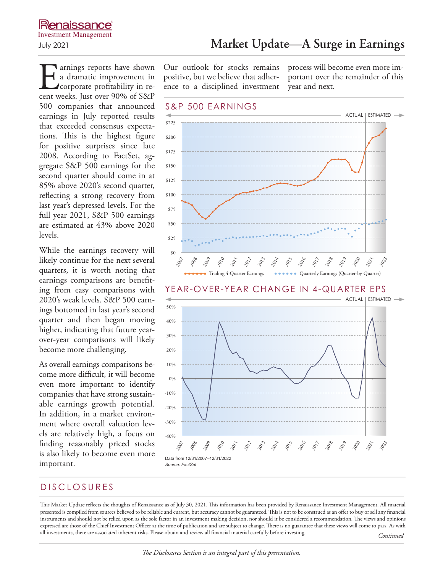**Larnings reports have shown** a dramatic improvement in corporate profitability in recent weeks. Just over 90% of S&P 500 companies that announced earnings in July reported results that exceeded consensus expectations. This is the highest figure for positive surprises since late 2008. According to FactSet, aggregate S&P 500 earnings for the second quarter should come in at 85% above 2020's second quarter, reflecting a strong recovery from last year's depressed levels. For the full year 2021, S&P 500 earnings are estimated at 43% above 2020 levels.

While the earnings recovery will likely continue for the next several quarters, it is worth noting that earnings comparisons are benefiting from easy comparisons with 2020's weak levels. S&P 500 earnings bottomed in last year's second quarter and then began moving higher, indicating that future yearover-year comparisons will likely become more challenging.

As overall earnings comparisons become more difficult, it will become even more important to identify companies that have strong sustainable earnings growth potential. In addition, in a market environment where overall valuation levels are relatively high, a focus on finding reasonably priced stocks is also likely to become even more important.

July 2021 **Market Update—A Surge in Earnings**

Our outlook for stocks remains positive, but we believe that adherence to a disciplined investment

process will become even more important over the remainder of this year and next.



## DISCLOSURES

This Market Update reflects the thoughts of Renaissance as of July 30, 2021. This information has been provided by Renaissance Investment Management. All material presented is compiled from sources believed to be reliable and current, but accuracy cannot be guaranteed. This is not to be construed as an offer to buy or sell any financial instruments and should not be relied upon as the sole factor in an investment making decision, nor should it be considered a recommendation. The views and opinions expressed are those of the Chief Investment Officer at the time of publication and are subject to change. There is no guarantee that these views will come to pass. As with all investments, there are associated inherent risks. Please obtain and review all financial material carefully before investing. *Continued*

#### *The Disclosures Section is an integral part of this presentation.*